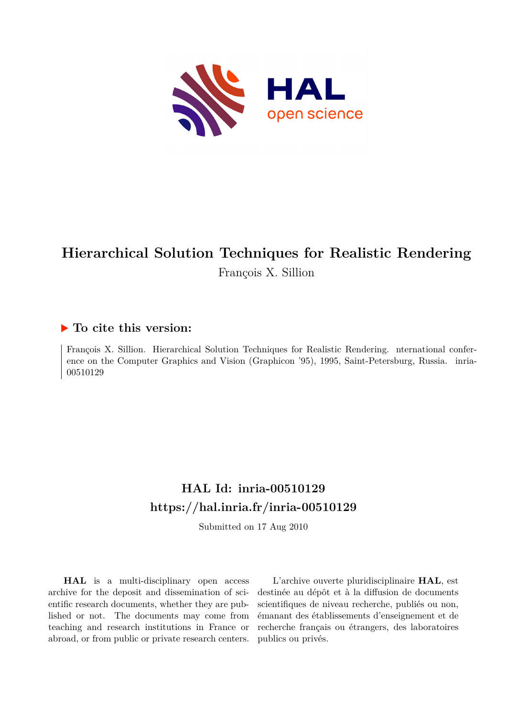

# **Hierarchical Solution Techniques for Realistic Rendering** François X. Sillion

## **To cite this version:**

François X. Sillion. Hierarchical Solution Techniques for Realistic Rendering. nternational conference on the Computer Graphics and Vision (Graphicon '95), 1995, Saint-Petersburg, Russia. inria-00510129ff

## **HAL Id: inria-00510129 <https://hal.inria.fr/inria-00510129>**

Submitted on 17 Aug 2010

**HAL** is a multi-disciplinary open access archive for the deposit and dissemination of scientific research documents, whether they are published or not. The documents may come from teaching and research institutions in France or abroad, or from public or private research centers.

L'archive ouverte pluridisciplinaire **HAL**, est destinée au dépôt et à la diffusion de documents scientifiques de niveau recherche, publiés ou non, émanant des établissements d'enseignement et de recherche français ou étrangers, des laboratoires publics ou privés.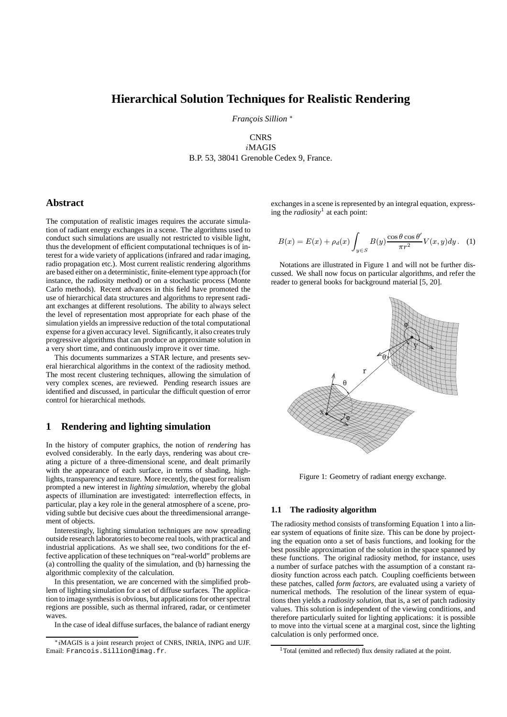## **Hierarchical Solution Techniques for Realistic Rendering**

*Fran¸cois Sillion* <sup>∗</sup>

## **CNRS** iMAGIS B.P. 53, 38041 Grenoble Cedex 9, France.

## **Abstract**

The computation of realistic images requires the accurate simulation of radiant energy exchanges in a scene. The algorithms used to conduct such simulations are usually not restricted to visible light, thus the development of efficient computational techniques is of interest for a wide variety of applications (infrared and radar imaging, radio propagation etc.). Most current realistic rendering algorithms are based either on a deterministic, finite-element type approach (for instance, the radiosity method) or on a stochastic process (Monte Carlo methods). Recent advances in this field have promoted the use of hierarchical data structures and algorithms to represent radiant exchanges at different resolutions. The ability to always select the level of representation most appropriate for each phase of the simulation yields an impressive reduction of the total computational expense for a given accuracy level. Significantly, it also creates truly progressive algorithms that can produce an approximate solution in a very short time, and continuously improve it over time.

This documents summarizes a STAR lecture, and presents several hierarchical algorithms in the context of the radiosity method. The most recent clustering techniques, allowing the simulation of very complex scenes, are reviewed. Pending research issues are identified and discussed, in particular the difficult question of error control for hierarchical methods.

## **1 Rendering and lighting simulation**

In the history of computer graphics, the notion of *rendering* has evolved considerably. In the early days, rendering was about creating a picture of a three-dimensional scene, and dealt primarily with the appearance of each surface, in terms of shading, highlights, transparency and texture. More recently, the quest for realism prompted a new interest in *lighting simulation*, whereby the global aspects of illumination are investigated: interreflection effects, in particular, play a key role in the general atmosphere of a scene, providing subtle but decisive cues about the threedimensional arrangement of objects.

Interestingly, lighting simulation techniques are now spreading outside research laboratories to become real tools, with practical and industrial applications. As we shall see, two conditions for the effective application of these techniques on "real-world" problems are (a) controlling the quality of the simulation, and (b) harnessing the algorithmic complexity of the calculation.

In this presentation, we are concerned with the simplified problem of lighting simulation for a set of diffuse surfaces. The application to image synthesis is obvious, but applications for other spectral regions are possible, such as thermal infrared, radar, or centimeter waves.

In the case of ideal diffuse surfaces, the balance of radiant energy

exchanges in a scene is represented by an integral equation, expressing the *radiosity*<sup>1</sup> at each point:

$$
B(x) = E(x) + \rho_d(x) \int_{y \in S} B(y) \frac{\cos \theta \cos \theta'}{\pi r^2} V(x, y) dy.
$$
 (1)

Notations are illustrated in Figure 1 and will not be further discussed. We shall now focus on particular algorithms, and refer the reader to general books for background material [5, 20].



Figure 1: Geometry of radiant energy exchange.

#### **1.1 The radiosity algorithm**

The radiosity method consists of transforming Equation 1 into a linear system of equations of finite size. This can be done by projecting the equation onto a set of basis functions, and looking for the best possible approximation of the solution in the space spanned by these functions. The original radiosity method, for instance, uses a number of surface patches with the assumption of a constant radiosity function across each patch. Coupling coefficients between these patches, called *form factors*, are evaluated using a variety of numerical methods. The resolution of the linear system of equations then yields a *radiosity solution*, that is, a set of patch radiosity values. This solution is independent of the viewing conditions, and therefore particularly suited for lighting applications: it is possible to move into the virtual scene at a marginal cost, since the lighting calculation is only performed once.

<sup>∗</sup>iMAGIS is a joint research project of CNRS, INRIA, INPG and UJF. Email: Francois.Sillion@imag.fr.

<sup>&</sup>lt;sup>1</sup>Total (emitted and reflected) flux density radiated at the point.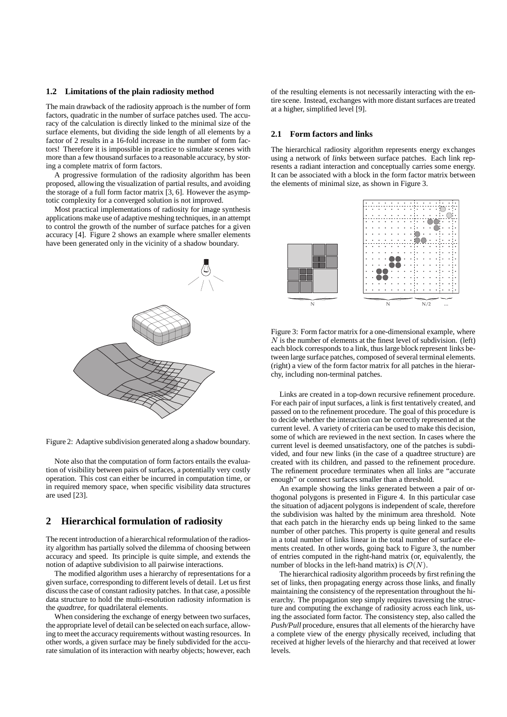#### **1.2 Limitations of the plain radiosity method**

The main drawback of the radiosity approach is the number of form factors, quadratic in the number of surface patches used. The accuracy of the calculation is directly linked to the minimal size of the surface elements, but dividing the side length of all elements by a factor of 2 results in a 16-fold increase in the number of form factors! Therefore it is impossible in practice to simulate scenes with more than a few thousand surfaces to a reasonable accuracy, by storing a complete matrix of form factors.

A progressive formulation of the radiosity algorithm has been proposed, allowing the visualization of partial results, and avoiding the storage of a full form factor matrix [3, 6]. However the asymptotic complexity for a converged solution is not improved.

Most practical implementations of radiosity for image synthesis applications make use of adaptive meshing techniques, in an attempt to control the growth of the number of surface patches for a given accuracy [4]. Figure 2 shows an example where smaller elements have been generated only in the vicinity of a shadow boundary.



Figure 2: Adaptive subdivision generated along a shadow boundary.

Note also that the computation of form factors entails the evaluation of visibility between pairs of surfaces, a potentially very costly operation. This cost can either be incurred in computation time, or in required memory space, when specific visibility data structures are used [23].

## **2 Hierarchical formulation of radiosity**

The recent introduction of a hierarchical reformulation of the radiosity algorithm has partially solved the dilemma of choosing between accuracy and speed. Its principle is quite simple, and extends the notion of adaptive subdivision to all pairwise interactions.

The modified algorithm uses a hierarchy of representations for a given surface, corresponding to different levels of detail. Let us first discuss the case of constant radiosity patches. In that case, a possible data structure to hold the multi-resolution radiosity information is the *quadtree*, for quadrilateral elements.

When considering the exchange of energy between two surfaces, the appropriate level of detail can be selected on each surface, allowing to meet the accuracy requirements without wasting resources. In other words, a given surface may be finely subdivided for the accurate simulation of its interaction with nearby objects; however, each of the resulting elements is not necessarily interacting with the entire scene. Instead, exchanges with more distant surfaces are treated at a higher, simplified level [9].

#### **2.1 Form factors and links**

The hierarchical radiosity algorithm represents energy exchanges using a network of *links* between surface patches. Each link represents a radiant interaction and conceptually carries some energy. It can be associated with a block in the form factor matrix between the elements of minimal size, as shown in Figure 3.



Figure 3: Form factor matrix for a one-dimensional example, where  $N$  is the number of elements at the finest level of subdivision. (left) each block corresponds to a link, thus large block represent links between large surface patches, composed of several terminal elements. (right) a view of the form factor matrix for all patches in the hierarchy, including non-terminal patches.

Links are created in a top-down recursive refinement procedure. For each pair of input surfaces, a link is first tentatively created, and passed on to the refinement procedure. The goal of this procedure is to decide whether the interaction can be correctly represented at the current level. A variety of criteria can be used to make this decision, some of which are reviewed in the next section. In cases where the current level is deemed unsatisfactory, one of the patches is subdivided, and four new links (in the case of a quadtree structure) are created with its children, and passed to the refinement procedure. The refinement procedure terminates when all links are "accurate enough" or connect surfaces smaller than a threshold.

An example showing the links generated between a pair of orthogonal polygons is presented in Figure 4. In this particular case the situation of adjacent polygons is independent of scale, therefore the subdivision was halted by the minimum area threshold. Note that each patch in the hierarchy ends up being linked to the same number of other patches. This property is quite general and results in a total number of links linear in the total number of surface elements created. In other words, going back to Figure 3, the number of entries computed in the right-hand matrix (or, equivalently, the number of blocks in the left-hand matrix) is  $\mathcal{O}(N)$ .

The hierarchical radiosity algorithm proceeds by first refining the set of links, then propagating energy across those links, and finally maintaining the consistency of the representation throughout the hierarchy. The propagation step simply requires traversing the structure and computing the exchange of radiosity across each link, using the associated form factor. The consistency step, also called the *Push/Pull* procedure, ensures that all elements of the hierarchy have a complete view of the energy physically received, including that received at higher levels of the hierarchy and that received at lower levels.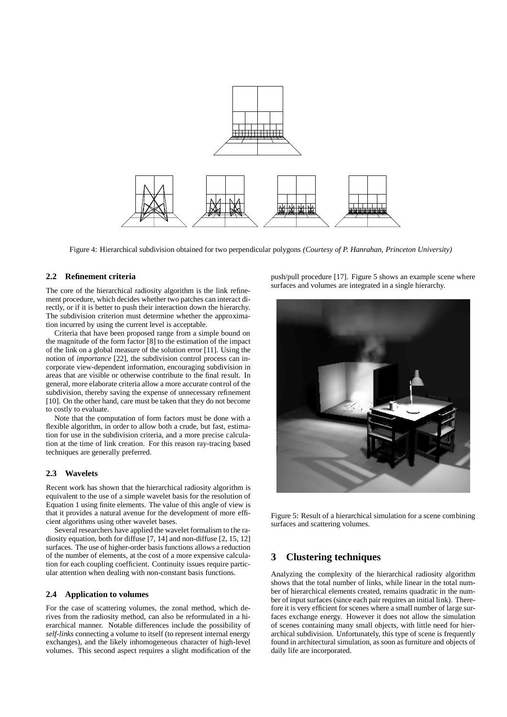

Figure 4: Hierarchical subdivision obtained for two perpendicular polygons *(Courtesy of P. Hanrahan, Princeton University)*

#### **2.2 Refinement criteria**

The core of the hierarchical radiosity algorithm is the link refinement procedure, which decides whether two patches can interact directly, or if it is better to push their interaction down the hierarchy. The subdivision criterion must determine whether the approximation incurred by using the current level is acceptable.

Criteria that have been proposed range from a simple bound on the magnitude of the form factor [8] to the estimation of the impact of the link on a global measure of the solution error [11]. Using the notion of *importance* [22], the subdivision control process can incorporate view-dependent information, encouraging subdivision in areas that are visible or otherwise contribute to the final result. In general, more elaborate criteria allow a more accurate control of the subdivision, thereby saving the expense of unnecessary refinement [10]. On the other hand, care must be taken that they do not become to costly to evaluate.

Note that the computation of form factors must be done with a flexible algorithm, in order to allow both a crude, but fast, estimation for use in the subdivision criteria, and a more precise calculation at the time of link creation. For this reason ray-tracing based techniques are generally preferred.

#### **2.3 Wavelets**

Recent work has shown that the hierarchical radiosity algorithm is equivalent to the use of a simple wavelet basis for the resolution of Equation 1 using finite elements. The value of this angle of view is that it provides a natural avenue for the development of more efficient algorithms using other wavelet bases.

Several researchers have applied the wavelet formalism to the radiosity equation, both for diffuse [7, 14] and non-diffuse [2, 15, 12] surfaces. The use of higher-order basis functions allows a reduction of the number of elements, at the cost of a more expensive calculation for each coupling coefficient. Continuity issues require particular attention when dealing with non-constant basis functions.

#### **2.4 Application to volumes**

For the case of scattering volumes, the zonal method, which derives from the radiosity method, can also be reformulated in a hierarchical manner. Notable differences include the possibility of *self-links* connecting a volume to itself (to represent internal energy exchanges), and the likely inhomogeneous character of high-level volumes. This second aspect requires a slight modification of the push/pull procedure [17]. Figure 5 shows an example scene where surfaces and volumes are integrated in a single hierarchy.



Figure 5: Result of a hierarchical simulation for a scene combining surfaces and scattering volumes.

## **3 Clustering techniques**

Analyzing the complexity of the hierarchical radiosity algorithm shows that the total number of links, while linear in the total number of hierarchical elements created, remains quadratic in the number of input surfaces (since each pair requires an initial link). Therefore it is very efficient for scenes where a small number of large surfaces exchange energy. However it does not allow the simulation of scenes containing many small objects, with little need for hierarchical subdivision. Unfortunately, this type of scene is frequently found in architectural simulation, as soon as furniture and objects of daily life are incorporated.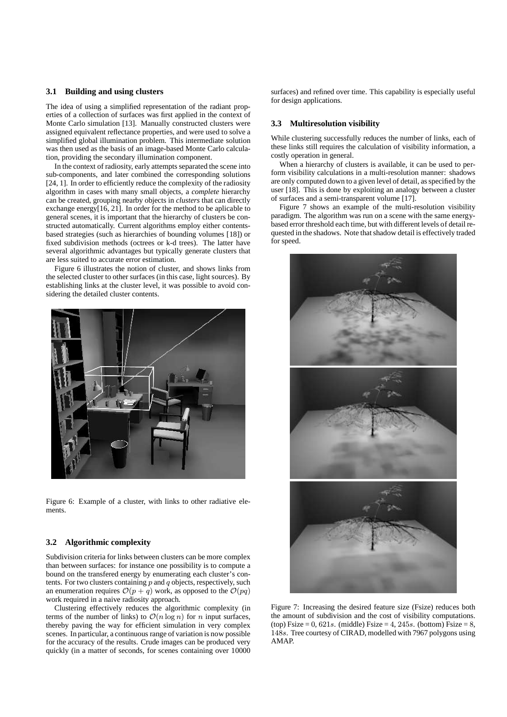#### **3.1 Building and using clusters**

The idea of using a simplified representation of the radiant properties of a collection of surfaces was first applied in the context of Monte Carlo simulation [13]. Manually constructed clusters were assigned equivalent reflectance properties, and were used to solve a simplified global illumination problem. This intermediate solution was then used as the basis of an image-based Monte Carlo calculation, providing the secondary illumination component.

In the context of radiosity, early attempts separated the scene into sub-components, and later combined the corresponding solutions [24, 1]. In order to efficiently reduce the complexity of the radiosity algorithm in cases with many small objects, a *complete* hierarchy can be created, grouping nearby objects in *clusters* that can directly exchange energy[16, 21]. In order for the method to be aplicable to general scenes, it is important that the hierarchy of clusters be constructed automatically. Current algorithms employ either contentsbased strategies (such as hierarchies of bounding volumes [18]) or fixed subdivision methods (octrees or k-d trees). The latter have several algorithmic advantages but typically generate clusters that are less suited to accurate error estimation.

Figure 6 illustrates the notion of cluster, and shows links from the selected cluster to other surfaces (in this case, light sources). By establishing links at the cluster level, it was possible to avoid considering the detailed cluster contents.



Figure 6: Example of a cluster, with links to other radiative elements.

#### **3.2 Algorithmic complexity**

Subdivision criteria for links between clusters can be more complex than between surfaces: for instance one possibility is to compute a bound on the transfered energy by enumerating each cluster's contents. For two clusters containing  $p$  and  $q$  objects, respectively, such an enumeration requires  $O(p + q)$  work, as opposed to the  $O(pq)$ work required in a naive radiosity approach.

Clustering effectively reduces the algorithmic complexity (in terms of the number of links) to  $\mathcal{O}(n \log n)$  for n input surfaces, thereby paving the way for efficient simulation in very complex scenes. In particular, a continuous range of variation is now possible for the accuracy of the results. Crude images can be produced very quickly (in a matter of seconds, for scenes containing over 10000

surfaces) and refined over time. This capability is especially useful for design applications.

### **3.3 Multiresolution visibility**

While clustering successfully reduces the number of links, each of these links still requires the calculation of visibility information, a costly operation in general.

When a hierarchy of clusters is available, it can be used to perform visibility calculations in a multi-resolution manner: shadows are only computed down to a given level of detail, as specified by the user [18]. This is done by exploiting an analogy between a cluster of surfaces and a semi-transparent volume [17].

Figure 7 shows an example of the multi-resolution visibility paradigm. The algorithm was run on a scene with the same energybased error threshold each time, but with different levels of detail requested in the shadows. Note that shadow detail is effectively traded for speed.



Figure 7: Increasing the desired feature size (Fsize) reduces both the amount of subdivision and the cost of visibility computations. (top) Fsize = 0, 621s. (middle) Fsize = 4, 245s. (bottom) Fsize = 8, 148s. Tree courtesy of CIRAD, modelled with 7967 polygons using AMAP.